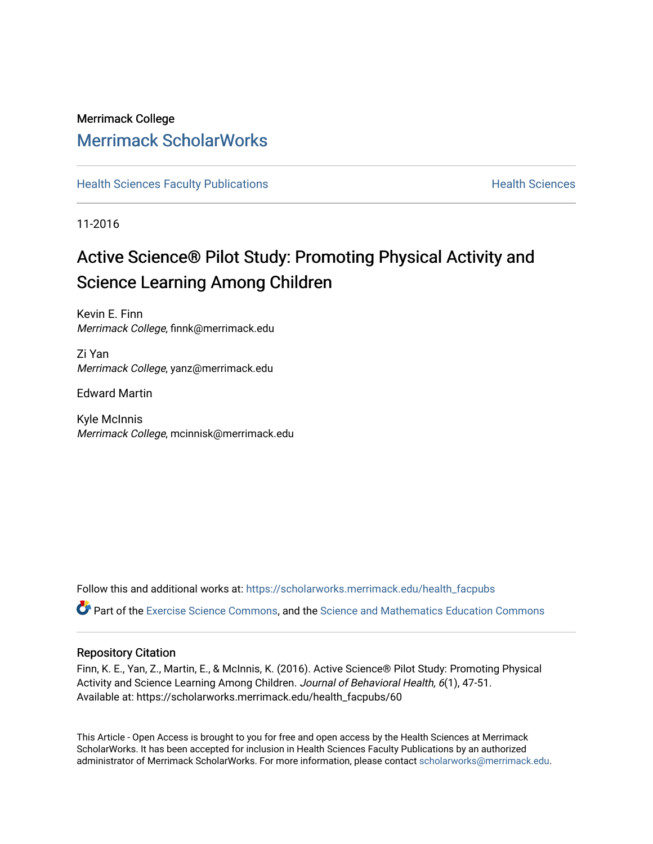# Merrimack College [Merrimack ScholarWorks](https://scholarworks.merrimack.edu/)

**[Health Sciences Faculty Publications](https://scholarworks.merrimack.edu/health_facpubs) Mealth Sciences Health Sciences** Health Sciences

11-2016

# Active Science® Pilot Study: Promoting Physical Activity and Science Learning Among Children

Kevin E. Finn Merrimack College, finnk@merrimack.edu

Zi Yan Merrimack College, yanz@merrimack.edu

Edward Martin

Kyle McInnis Merrimack College, mcinnisk@merrimack.edu

Follow this and additional works at: [https://scholarworks.merrimack.edu/health\\_facpubs](https://scholarworks.merrimack.edu/health_facpubs?utm_source=scholarworks.merrimack.edu%2Fhealth_facpubs%2F60&utm_medium=PDF&utm_campaign=PDFCoverPages)  Part of the [Exercise Science Commons](http://network.bepress.com/hgg/discipline/1091?utm_source=scholarworks.merrimack.edu%2Fhealth_facpubs%2F60&utm_medium=PDF&utm_campaign=PDFCoverPages), and the Science and Mathematics Education Commons

# Repository Citation

Finn, K. E., Yan, Z., Martin, E., & McInnis, K. (2016). Active Science® Pilot Study: Promoting Physical Activity and Science Learning Among Children. Journal of Behavioral Health, 6(1), 47-51. Available at: https://scholarworks.merrimack.edu/health\_facpubs/60

This Article - Open Access is brought to you for free and open access by the Health Sciences at Merrimack ScholarWorks. It has been accepted for inclusion in Health Sciences Faculty Publications by an authorized administrator of Merrimack ScholarWorks. For more information, please contact [scholarworks@merrimack.edu](mailto:scholarworks@merrimack.edu).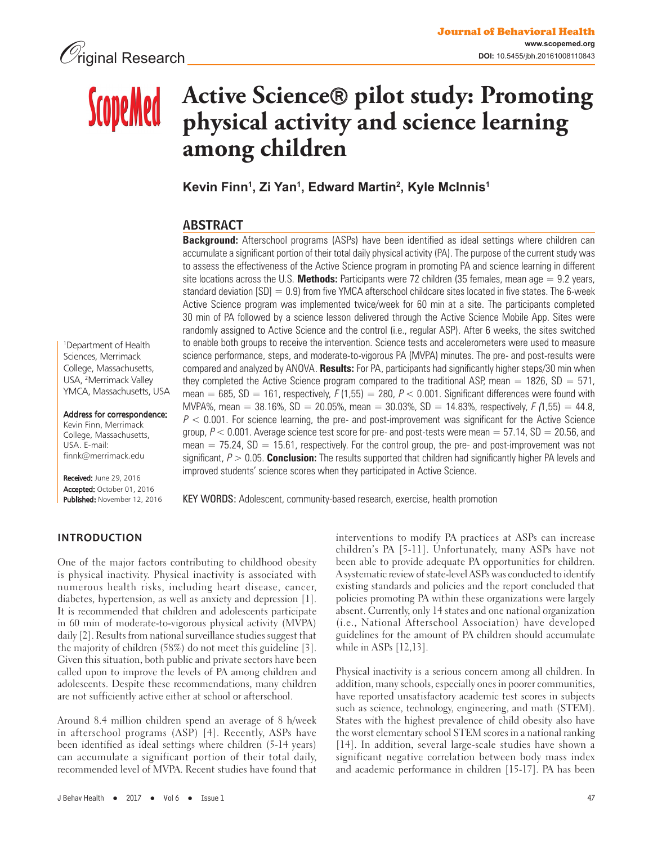# **Active Science pilot study: Promoting ScopeMed physical activity and science learning among children**

**Kevin Finn1 , Zi Yan1 , Edward Martin2 , Kyle McInnis1**

# ABSTRACT

**Background:** Afterschool programs (ASPs) have been identified as ideal settings where children can accumulate a significant portion of their total daily physical activity (PA). The purpose of the current study was to assess the effectiveness of the Active Science program in promoting PA and science learning in different site locations across the U.S. **Methods:** Participants were 72 children (35 females, mean age = 9.2 years, standard deviation [SD] = 0.9) from five YMCA afterschool childcare sites located in five states. The 6-week Active Science program was implemented twice/week for 60 min at a site. The participants completed 30 min of PA followed by a science lesson delivered through the Active Science Mobile App. Sites were randomly assigned to Active Science and the control (i.e., regular ASP). After 6 weeks, the sites switched to enable both groups to receive the intervention. Science tests and accelerometers were used to measure science performance, steps, and moderate-to-vigorous PA (MVPA) minutes. The pre- and post-results were compared and analyzed by ANOVA. **Results:** For PA, participants had significantly higher steps/30 min when they completed the Active Science program compared to the traditional ASP, mean =  $1826$ , SD =  $571$ , mean = 685, SD = 161, respectively, F (1,55) = 280, P < 0.001. Significant differences were found with MVPA%, mean = 38.16%, SD = 20.05%, mean = 30.03%, SD = 14.83%, respectively,  $F(1,55) = 44.8$ ,  $P < 0.001$ . For science learning, the pre- and post-improvement was significant for the Active Science group,  $P < 0.001$ . Average science test score for pre- and post-tests were mean  $= 57.14$ , SD  $= 20.56$ , and mean  $= 75.24$ , SD  $= 15.61$ , respectively. For the control group, the pre- and post-improvement was not significant, P > 0.05. **Conclusion:** The results supported that children had significantly higher PA levels and improved students' science scores when they participated in Active Science.

1 Department of Health Sciences, Merrimack College, Massachusetts, USA, 2 Merrimack Valley YMCA, Massachusetts, USA

Address for correspondence:

Kevin Finn, Merrimack College, Massachusetts, USA. E-mail: finnk@merrimack.edu

Received: June 29, 2016 Accepted: October 01, 2016 Published: November 12, 2016

KEY WORDS: Adolescent, community-based research, exercise, health promotion

## **INTRODUCTION**

One of the major factors contributing to childhood obesity is physical inactivity. Physical inactivity is associated with numerous health risks, including heart disease, cancer, diabetes, hypertension, as well as anxiety and depression [1]. It is recommended that children and adolescents participate in 60 min of moderate-to-vigorous physical activity (MVPA) daily [2]. Results from national surveillance studies suggest that the majority of children (58%) do not meet this guideline [3]. Given this situation, both public and private sectors have been called upon to improve the levels of PA among children and adolescents. Despite these recommendations, many children are not sufficiently active either at school or afterschool.

Around 8.4 million children spend an average of 8 h/week in afterschool programs (ASP) [4]. Recently, ASPs have been identified as ideal settings where children (5-14 years) can accumulate a significant portion of their total daily, recommended level of MVPA. Recent studies have found that interventions to modify PA practices at ASPs can increase children's PA [5-11]. Unfortunately, many ASPs have not been able to provide adequate PA opportunities for children. A systematic review of state-level ASPs was conducted to identify existing standards and policies and the report concluded that policies promoting PA within these organizations were largely absent. Currently, only 14 states and one national organization (i.e., National Afterschool Association) have developed guidelines for the amount of PA children should accumulate while in ASPs [12,13].

Physical inactivity is a serious concern among all children. In addition, many schools, especially ones in poorer communities, have reported unsatisfactory academic test scores in subjects such as science, technology, engineering, and math (STEM). States with the highest prevalence of child obesity also have the worst elementary school STEM scores in a national ranking [14]. In addition, several large-scale studies have shown a significant negative correlation between body mass index and academic performance in children [15-17]. PA has been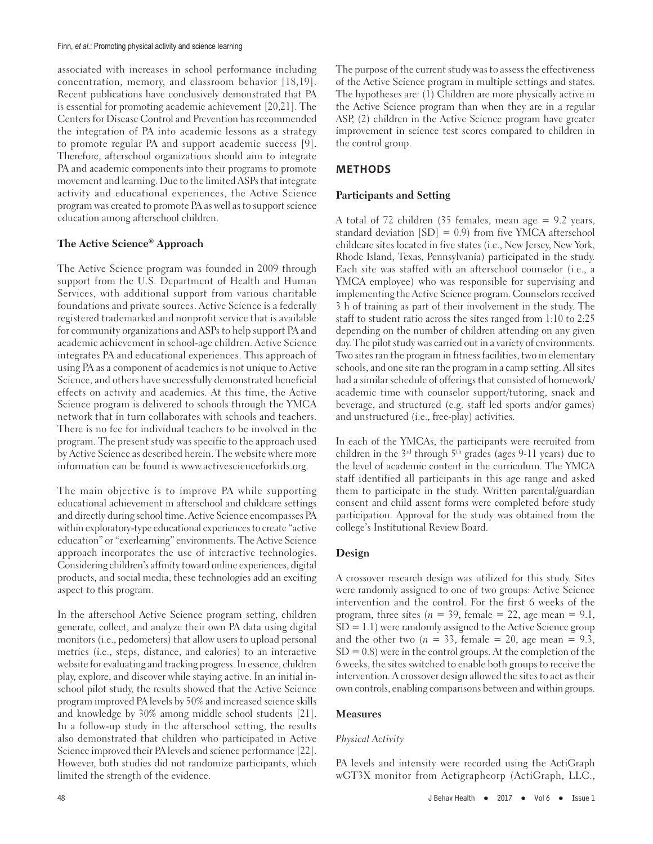associated with increases in school performance including concentration, memory, and classroom behavior [18,19]. Recent publications have conclusively demonstrated that PA is essential for promoting academic achievement [20,21]. The Centers for Disease Control and Prevention has recommended the integration of PA into academic lessons as a strategy to promote regular PA and support academic success [9]. Therefore, afterschool organizations should aim to integrate PA and academic components into their programs to promote movement and learning. Due to the limited ASPs that integrate activity and educational experiences, the Active Science program was created to promote PA as well as to support science education among afterschool children.

### **The Active Science® Approach**

The Active Science program was founded in 2009 through support from the U.S. Department of Health and Human Services, with additional support from various charitable foundations and private sources. Active Science is a federally registered trademarked and nonprofit service that is available for community organizations and ASPs to help support PA and academic achievement in school-age children. Active Science integrates PA and educational experiences. This approach of using PA as a component of academics is not unique to Active Science, and others have successfully demonstrated beneficial effects on activity and academics. At this time, the Active Science program is delivered to schools through the YMCA network that in turn collaborates with schools and teachers. There is no fee for individual teachers to be involved in the program. The present study was specific to the approach used by Active Science as described herein. The website where more information can be found is www.activescienceforkids.org.

The main objective is to improve PA while supporting educational achievement in afterschool and childcare settings and directly during school time. Active Science encompasses PA within exploratory-type educational experiences to create "active education" or "exerlearning" environments. The Active Science approach incorporates the use of interactive technologies. Considering children's affinity toward online experiences, digital products, and social media, these technologies add an exciting aspect to this program.

In the afterschool Active Science program setting, children generate, collect, and analyze their own PA data using digital monitors (i.e., pedometers) that allow users to upload personal metrics (i.e., steps, distance, and calories) to an interactive website for evaluating and tracking progress. In essence, children play, explore, and discover while staying active. In an initial inschool pilot study, the results showed that the Active Science program improved PA levels by 50% and increased science skills and knowledge by 30% among middle school students [21]. In a follow-up study in the afterschool setting, the results also demonstrated that children who participated in Active Science improved their PA levels and science performance [22]. However, both studies did not randomize participants, which limited the strength of the evidence.

The purpose of the current study was to assess the effectiveness of the Active Science program in multiple settings and states. The hypotheses are: (1) Children are more physically active in the Active Science program than when they are in a regular ASP, (2) children in the Active Science program have greater improvement in science test scores compared to children in the control group.

## **METHODS**

#### **Participants and Setting**

A total of 72 children (35 females, mean age = 9.2 years, standard deviation [SD] = 0.9) from five YMCA afterschool childcare sites located in five states (i.e., New Jersey, New York, Rhode Island, Texas, Pennsylvania) participated in the study. Each site was staffed with an afterschool counselor (i.e., a YMCA employee) who was responsible for supervising and implementing the Active Science program. Counselors received 3 h of training as part of their involvement in the study. The staff to student ratio across the sites ranged from 1:10 to 2:25 depending on the number of children attending on any given day. The pilot study was carried out in a variety of environments. Two sites ran the program in fitness facilities, two in elementary schools, and one site ran the program in a camp setting. All sites had a similar schedule of offerings that consisted of homework/ academic time with counselor support/tutoring, snack and beverage, and structured (e.g. staff led sports and/or games) and unstructured (i.e., free-play) activities.

In each of the YMCAs, the participants were recruited from children in the  $3^{rd}$  through  $5^{th}$  grades (ages 9-11 years) due to the level of academic content in the curriculum. The YMCA staff identified all participants in this age range and asked them to participate in the study. Written parental/guardian consent and child assent forms were completed before study participation. Approval for the study was obtained from the college's Institutional Review Board.

### **Design**

A crossover research design was utilized for this study. Sites were randomly assigned to one of two groups: Active Science intervention and the control. For the first 6 weeks of the program, three sites ( $n = 39$ , female = 22, age mean = 9.1, SD = 1.1) were randomly assigned to the Active Science group and the other two  $(n = 33, \text{ female} = 20, \text{ age mean} = 9.3, \text{ age}$  $SD = 0.8$ ) were in the control groups. At the completion of the 6 weeks, the sites switched to enable both groups to receive the intervention. A crossover design allowed the sites to act as their own controls, enabling comparisons between and within groups.

#### **Measures**

#### Physical Activity

PA levels and intensity were recorded using the ActiGraph wGT3X monitor from Actigraphcorp (ActiGraph, LLC.,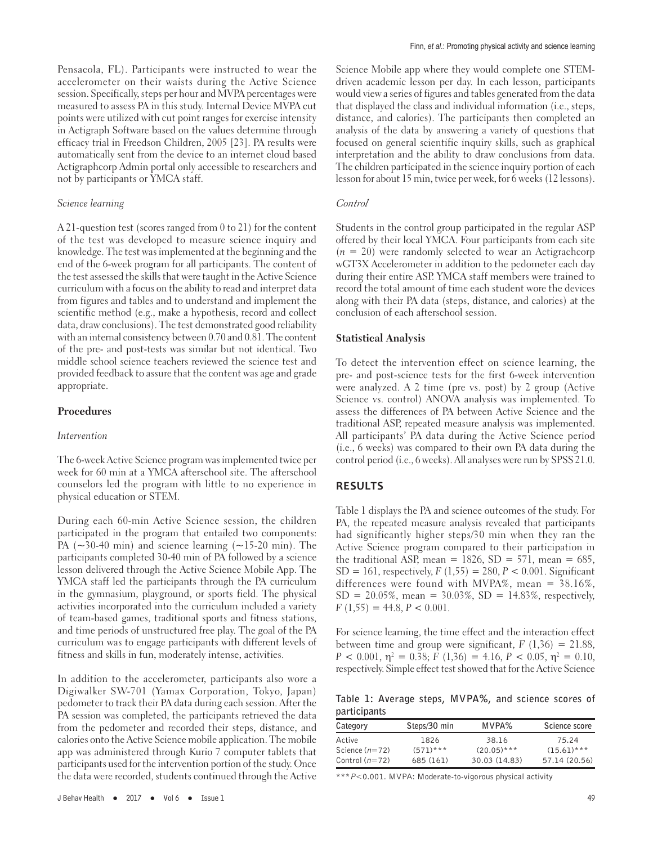Pensacola, FL). Participants were instructed to wear the accelerometer on their waists during the Active Science session. Specifically, steps per hour and MVPA percentages were measured to assess PA in this study. Internal Device MVPA cut points were utilized with cut point ranges for exercise intensity in Actigraph Software based on the values determine through efficacy trial in Freedson Children, 2005 [23]. PA results were automatically sent from the device to an internet cloud based Actigraphcorp Admin portal only accessible to researchers and not by participants or YMCA staff.

#### Science learning

A 21-question test (scores ranged from 0 to 21) for the content of the test was developed to measure science inquiry and knowledge. The test was implemented at the beginning and the end of the 6-week program for all participants. The content of the test assessed the skills that were taught in the Active Science curriculum with a focus on the ability to read and interpret data from figures and tables and to understand and implement the scientific method (e.g., make a hypothesis, record and collect data, draw conclusions). The test demonstrated good reliability with an internal consistency between 0.70 and 0.81. The content of the pre- and post-tests was similar but not identical. Two middle school science teachers reviewed the science test and provided feedback to assure that the content was age and grade appropriate.

### **Procedures**

#### Intervention

The 6-week Active Science program was implemented twice per week for 60 min at a YMCA afterschool site. The afterschool counselors led the program with little to no experience in physical education or STEM.

During each 60-min Active Science session, the children participated in the program that entailed two components: PA  $(\sim)30-40$  min) and science learning  $(\sim)15-20$  min). The participants completed 30-40 min of PA followed by a science lesson delivered through the Active Science Mobile App. The YMCA staff led the participants through the PA curriculum in the gymnasium, playground, or sports field. The physical activities incorporated into the curriculum included a variety of team-based games, traditional sports and fitness stations, and time periods of unstructured free play. The goal of the PA curriculum was to engage participants with different levels of fitness and skills in fun, moderately intense, activities.

In addition to the accelerometer, participants also wore a Digiwalker SW-701 (Yamax Corporation, Tokyo, Japan) pedometer to track their PA data during each session. After the PA session was completed, the participants retrieved the data from the pedometer and recorded their steps, distance, and calories onto the Active Science mobile application. The mobile app was administered through Kurio 7 computer tablets that participants used for the intervention portion of the study. Once the data were recorded, students continued through the Active Science Mobile app where they would complete one STEMdriven academic lesson per day. In each lesson, participants would view a series of figures and tables generated from the data that displayed the class and individual information (i.e., steps, distance, and calories). The participants then completed an analysis of the data by answering a variety of questions that focused on general scientific inquiry skills, such as graphical interpretation and the ability to draw conclusions from data. The children participated in the science inquiry portion of each lesson for about 15 min, twice per week, for 6 weeks (12 lessons).

#### Control

Students in the control group participated in the regular ASP offered by their local YMCA. Four participants from each site  $(n = 20)$  were randomly selected to wear an Actigrachcorp wGT3X Accelerometer in addition to the pedometer each day during their entire ASP. YMCA staff members were trained to record the total amount of time each student wore the devices along with their PA data (steps, distance, and calories) at the conclusion of each afterschool session.

#### **Statistical Analysis**

To detect the intervention effect on science learning, the pre- and post-science tests for the first 6-week intervention were analyzed. A 2 time (pre vs. post) by 2 group (Active Science vs. control) ANOVA analysis was implemented. To assess the differences of PA between Active Science and the traditional ASP, repeated measure analysis was implemented. All participants' PA data during the Active Science period (i.e., 6 weeks) was compared to their own PA data during the control period (i.e., 6 weeks). All analyses were run by SPSS 21.0.

### **RESULTS**

Table 1 displays the PA and science outcomes of the study. For PA, the repeated measure analysis revealed that participants had significantly higher steps/30 min when they ran the Active Science program compared to their participation in the traditional ASP, mean =  $1826$ , SD = 571, mean = 685,  $SD = 161$ , respectively,  $F(1,55) = 280$ ,  $P < 0.001$ . Significant differences were found with MVPA%, mean = 38.16%,  $SD = 20.05\%$ , mean = 30.03%,  $SD = 14.83\%$ , respectively,  $F(1,55) = 44.8, P < 0.001.$ 

For science learning, the time effect and the interaction effect between time and group were significant,  $F(1,36) = 21.88$ ,  $P < 0.001$ ,  $\eta^2 = 0.38$ ;  $F(1,36) = 4.16$ ,  $P < 0.05$ ,  $\eta^2 = 0.10$ , respectively. Simple effect test showed that for the Active Science

**Table 1: Average steps, MVPA%, and science scores of participants**

| Category         | Steps/30 min | MVPA%         | Science score |
|------------------|--------------|---------------|---------------|
| Active           | 1826         | 38.16         | 75.24         |
| Science $(n=72)$ | $(571)***$   | $(20.05)$ *** | $(15.61)***$  |
| Control $(n=72)$ | 685 (161)    | 30.03 (14.83) | 57.14 (20.56) |

\*\*\**P*<0.001. MVPA: Moderate‑to‑vigorous physical activity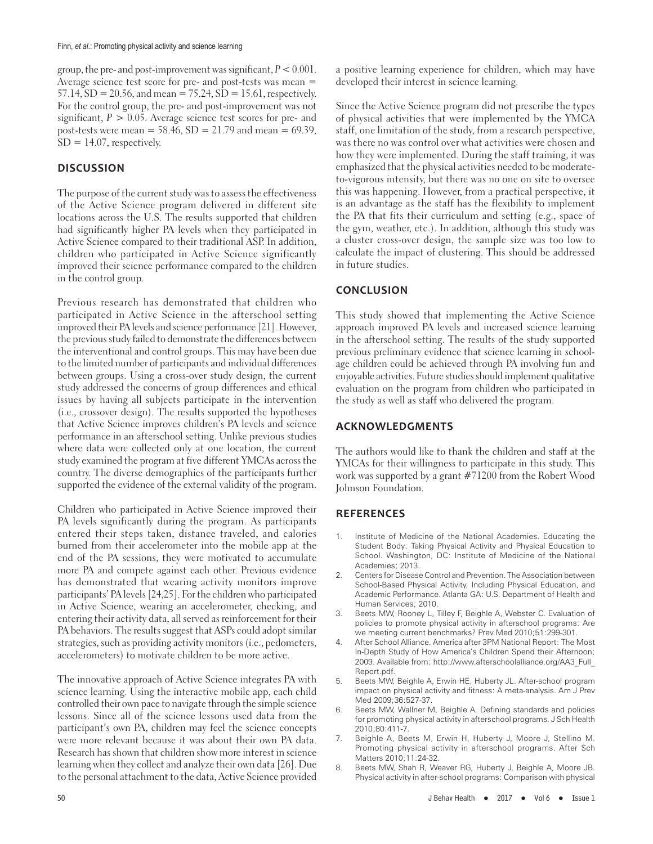group, the pre- and post-improvement was significant,  $P < 0.001$ . Average science test score for pre- and post-tests was mean = 57.14, SD = 20.56, and mean = 75.24, SD = 15.61, respectively. For the control group, the pre- and post-improvement was not significant,  $P > 0.05$ . Average science test scores for pre- and post-tests were mean =  $58.46$ , SD = 21.79 and mean = 69.39,  $SD = 14.07$ , respectively.

# **DISCUSSION**

The purpose of the current study was to assess the effectiveness of the Active Science program delivered in different site locations across the U.S. The results supported that children had significantly higher PA levels when they participated in Active Science compared to their traditional ASP. In addition, children who participated in Active Science significantly improved their science performance compared to the children in the control group.

Previous research has demonstrated that children who participated in Active Science in the afterschool setting improved their PA levels and science performance [21]. However, the previous study failed to demonstrate the differences between the interventional and control groups. This may have been due to the limited number of participants and individual differences between groups. Using a cross-over study design, the current study addressed the concerns of group differences and ethical issues by having all subjects participate in the intervention (i.e., crossover design). The results supported the hypotheses that Active Science improves children's PA levels and science performance in an afterschool setting. Unlike previous studies where data were collected only at one location, the current study examined the program at five different YMCAs across the country. The diverse demographics of the participants further supported the evidence of the external validity of the program.

Children who participated in Active Science improved their PA levels significantly during the program. As participants entered their steps taken, distance traveled, and calories burned from their accelerometer into the mobile app at the end of the PA sessions, they were motivated to accumulate more PA and compete against each other. Previous evidence has demonstrated that wearing activity monitors improve participants' PA levels [24,25]. For the children who participated in Active Science, wearing an accelerometer, checking, and entering their activity data, all served as reinforcement for their PA behaviors. The results suggest that ASPs could adopt similar strategies, such as providing activity monitors (i.e., pedometers, accelerometers) to motivate children to be more active.

The innovative approach of Active Science integrates PA with science learning. Using the interactive mobile app, each child controlled their own pace to navigate through the simple science lessons. Since all of the science lessons used data from the participant's own PA, children may feel the science concepts were more relevant because it was about their own PA data. Research has shown that children show more interest in science learning when they collect and analyze their own data [26]. Due to the personal attachment to the data, Active Science provided

a positive learning experience for children, which may have developed their interest in science learning.

Since the Active Science program did not prescribe the types of physical activities that were implemented by the YMCA staff, one limitation of the study, from a research perspective, was there no was control over what activities were chosen and how they were implemented. During the staff training, it was emphasized that the physical activities needed to be moderateto-vigorous intensity, but there was no one on site to oversee this was happening. However, from a practical perspective, it is an advantage as the staff has the flexibility to implement the PA that fits their curriculum and setting (e.g., space of the gym, weather, etc.). In addition, although this study was a cluster cross-over design, the sample size was too low to calculate the impact of clustering. This should be addressed in future studies.

## **CONCLUSION**

This study showed that implementing the Active Science approach improved PA levels and increased science learning in the afterschool setting. The results of the study supported previous preliminary evidence that science learning in schoolage children could be achieved through PA involving fun and enjoyable activities. Future studies should implement qualitative evaluation on the program from children who participated in the study as well as staff who delivered the program.

## **ACKNOWLEDGMENTS**

The authors would like to thank the children and staff at the YMCAs for their willingness to participate in this study. This work was supported by a grant #71200 from the Robert Wood Johnson Foundation.

## **REFERENCES**

- 1. Institute of Medicine of the National Academies. Educating the Student Body: Taking Physical Activity and Physical Education to School. Washington, DC: Institute of Medicine of the National Academies; 2013.
- 2. Centers for Disease Control and Prevention. The Association between School-Based Physical Activity, Including Physical Education, and Academic Performance. Atlanta GA: U.S. Department of Health and Human Services; 2010.
- Beets MW, Rooney L, Tilley F, Beighle A, Webster C. Evaluation of policies to promote physical activity in afterschool programs: Are we meeting current benchmarks? Prev Med 2010;51:299-301.
- 4. After School Alliance. America after 3PM National Report: The Most In-Depth Study of How America's Children Spend their Afternoon; 2009. Available from: http://www.afterschoolalliance.org/AA3\_Full\_ Report.pdf.
- 5. Beets MW, Beighle A, Erwin HE, Huberty JL. After-school program impact on physical activity and fitness: A meta-analysis. Am J Prev Med 2009;36:527-37
- 6. Beets MW, Wallner M, Beighle A. Defining standards and policies for promoting physical activity in afterschool programs. J Sch Health 2010;80:411-7.
- 7. Beighle A, Beets M, Erwin H, Huberty J, Moore J, Stellino M. Promoting physical activity in afterschool programs. After Sch Matters 2010;11:24-32.
- 8. Beets MW, Shah R, Weaver RG, Huberty J, Beighle A, Moore JB. Physical activity in after-school programs: Comparison with physical